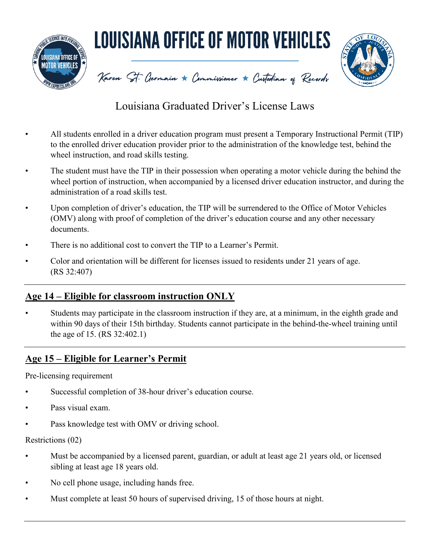

# Louisiana Graduated Driver's License Laws

- All students enrolled in a driver education program must present a Temporary Instructional Permit (TIP) to the enrolled driver education provider prior to the administration of the knowledge test, behind the wheel instruction, and road skills testing.
- The student must have the TIP in their possession when operating a motor vehicle during the behind the wheel portion of instruction, when accompanied by a licensed driver education instructor, and during the administration of a road skills test.
- Upon completion of driver's education, the TIP will be surrendered to the Office of Motor Vehicles (OMV) along with proof of completion of the driver's education course and any other necessary documents.
- There is no additional cost to convert the TIP to a Learner's Permit.
- Color and orientation will be different for licenses issued to residents under 21 years of age. (RS 32:407)

### **Age 14 – Eligible for classroom instruction ONLY**

Students may participate in the classroom instruction if they are, at a minimum, in the eighth grade and within 90 days of their 15th birthday. Students cannot participate in the behind-the-wheel training until the age of 15. (RS 32:402.1)

## **Age 15 – Eligible for Learner's Permit**

Pre-licensing requirement

- Successful completion of 38-hour driver's education course.
- Pass visual exam.
- Pass knowledge test with OMV or driving school.

#### Restrictions (02)

- Must be accompanied by a licensed parent, guardian, or adult at least age 21 years old, or licensed sibling at least age 18 years old.
- No cell phone usage, including hands free.
- Must complete at least 50 hours of supervised driving, 15 of those hours at night.